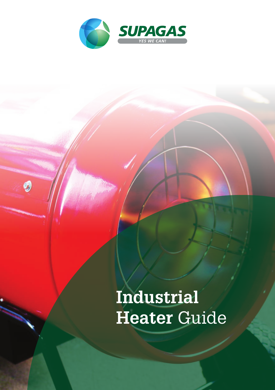

0

# **Industrial Heater** Guide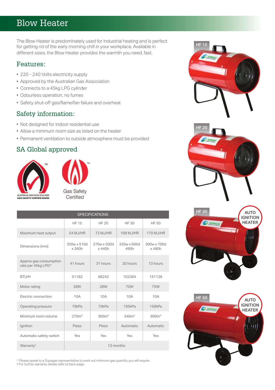## Blow Heater

The Blow Heater is predominately used for industrial heating and is perfect for getting rid of the early morning chill in your workplace. Available in different sizes, the Blow Heater provides the warmth you need, fast.

#### Features:

- 220 240 Volts electricity supply
- Approved by the Australian Gas Association
- Connects to a 45kg LPG cylinder
- Odourless operation, no fumes
- Safety shut-off gas/flame/fan failure and overheat

#### Safety information:

- Not designed for indoor residential use
- Allow a minimum room size as listed on the heater
- Permanent ventilation to outside atmosphere must be provided

### SA Global approved





| <b>SPECIFICATIONS</b>                        |                      |                       |                     |                       |  |  |
|----------------------------------------------|----------------------|-----------------------|---------------------|-----------------------|--|--|
|                                              | <b>HF 15</b>         | HF 20                 | HF 30               | HF 50                 |  |  |
| Maximum heat output                          | 54 M.J/HR            | 72 M.J/HR             | 108 MJ/HR           | 170 MJ/HR             |  |  |
| Dimensions (mm)                              | 250w x 510d<br>x360h | 270w x 500d<br>x 440h | 320w x 600d<br>490h | 300w x 700d<br>x 480h |  |  |
| Approx gas consumption<br>rate per 45kg LPG^ | 41 hours             | 31 hours              | 20 hours            | 13 hours              |  |  |
| BTU/H                                        | 51182                | 68242                 | 102364              | 161128                |  |  |
| Motor rating                                 | <b>28W</b>           | <b>28W</b>            | <b>75W</b>          | 75W                   |  |  |
| Electric connection                          | 10A                  | 10A                   | 10A                 | 10A                   |  |  |
| Operating pressure                           | 70kPa                | 70kPa                 | 150kPa              | 150kPa                |  |  |
| Minimum room volume                          | 270 <sup>m3</sup>    | 360 <sup>m3</sup>     | 540 <sup>m3</sup>   | 900 <sup>m3</sup>     |  |  |
| Ignition                                     | Piezo                | Piezo                 | Automatic           | Automatic             |  |  |
| Automatic safety switch                      | Yes                  | Yes                   | Yes                 | Yes                   |  |  |
| Warranty <sup>t</sup>                        | 12 months            |                       |                     |                       |  |  |

^ Please speak to a Supagas representative to work out minimum gas quantity you will require.

† For further warranty details refer to back page.



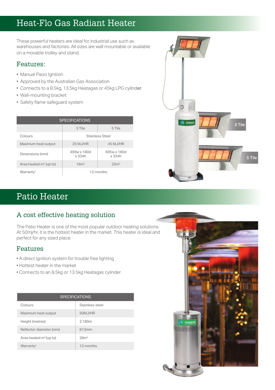# Heat-Flo Gas Radiant Heater

These powerful heaters are ideal for industrial use such as warehouses and factories. All sizes are wall mountable or available on a movable trolley and stand.

#### Features:

- Manual Piezo Ignition
- Approved by the Australian Gas Association
- Connects to a 8.5kg, 13.5kg Heatagas or 45kg LPG cylinder
- Wall-mounting bracket
- Safety flame safeguard system

| <b>SPECIFICATIONS</b>              |                       |                       |  |  |  |
|------------------------------------|-----------------------|-----------------------|--|--|--|
|                                    | 3 Tile                | 5 Tile                |  |  |  |
| Colours                            | Stainless Steel       |                       |  |  |  |
| Maximum heat output                | 25 MJ/HR              | 45 M.J/HR             |  |  |  |
| Dimensions (mm)                    | 499w x 180d<br>x 334h | 695w x 180d<br>x 334h |  |  |  |
| Area heated m <sup>2</sup> (up to) | 16m <sup>2</sup>      | 25 <sup>2</sup>       |  |  |  |
| Warranty <sup>t</sup>              | 12 months             |                       |  |  |  |



# Patio Heater

## A cost effective heating solution

The Patio Heater is one of the most popular outdoor heating solutions. At 50mj/hr, it is the hottest heater in the market. This heater is ideal and perfect for any sized place.

### Features

- A direct ignition system for trouble free lighting
- Hottest heater in the market
- Connects to an 8.5kg or 13.5kg Heatagas cylinder

| <b>SPECIFICATIONS</b>              |                 |  |  |  |
|------------------------------------|-----------------|--|--|--|
| Colours                            | Stainless steel |  |  |  |
| Maximum heat output                | 50M, J/HR       |  |  |  |
| Height (metres)                    | 2.180m          |  |  |  |
| Reflector diameter (mm)            | 813mm           |  |  |  |
| Area heated m <sup>2</sup> (up to) | 28 <sup>2</sup> |  |  |  |
| Warranty <sup>t</sup>              | 12 months       |  |  |  |